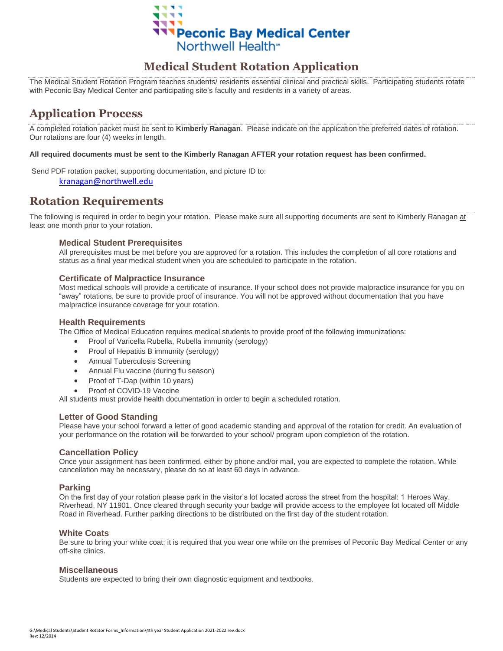

## **Medical Student Rotation Application**

The Medical Student Rotation Program teaches students/ residents essential clinical and practical skills. Participating students rotate with Peconic Bay Medical Center and participating site's faculty and residents in a variety of areas.

# **Application Process**

A completed rotation packet must be sent to **Kimberly Ranagan**. Please indicate on the application the preferred dates of rotation. Our rotations are four (4) weeks in length.

#### **All required documents must be sent to the Kimberly Ranagan AFTER your rotation request has been confirmed.**

Send PDF rotation packet, supporting documentation, and picture ID to: [kranagan@northwell.edu](mailto:kranagan@northwell.edu)

## **Rotation Requirements**

The following is required in order to begin your rotation. Please make sure all supporting documents are sent to Kimberly Ranagan at least one month prior to your rotation.

#### **Medical Student Prerequisites**

All prerequisites must be met before you are approved for a rotation. This includes the completion of all core rotations and status as a final year medical student when you are scheduled to participate in the rotation.

#### **Certificate of Malpractice Insurance**

Most medical schools will provide a certificate of insurance. If your school does not provide malpractice insurance for you on "away" rotations, be sure to provide proof of insurance. You will not be approved without documentation that you have malpractice insurance coverage for your rotation.

#### **Health Requirements**

The Office of Medical Education requires medical students to provide proof of the following immunizations:

- Proof of Varicella Rubella, Rubella immunity (serology)
- Proof of Hepatitis B immunity (serology)
- Annual Tuberculosis Screening
- Annual Flu vaccine (during flu season)
- Proof of T-Dap (within 10 years)
- Proof of COVID-19 Vaccine

All students must provide health documentation in order to begin a scheduled rotation.

#### **Letter of Good Standing**

Please have your school forward a letter of good academic standing and approval of the rotation for credit. An evaluation of your performance on the rotation will be forwarded to your school/ program upon completion of the rotation.

#### **Cancellation Policy**

Once your assignment has been confirmed, either by phone and/or mail, you are expected to complete the rotation. While cancellation may be necessary, please do so at least 60 days in advance.

#### **Parking**

On the first day of your rotation please park in the visitor's lot located across the street from the hospital: 1 Heroes Way, Riverhead, NY 11901. Once cleared through security your badge will provide access to the employee lot located off Middle Road in Riverhead. Further parking directions to be distributed on the first day of the student rotation.

#### **White Coats**

Be sure to bring your white coat; it is required that you wear one while on the premises of Peconic Bay Medical Center or any off-site clinics.

#### **Miscellaneous**

Students are expected to bring their own diagnostic equipment and textbooks.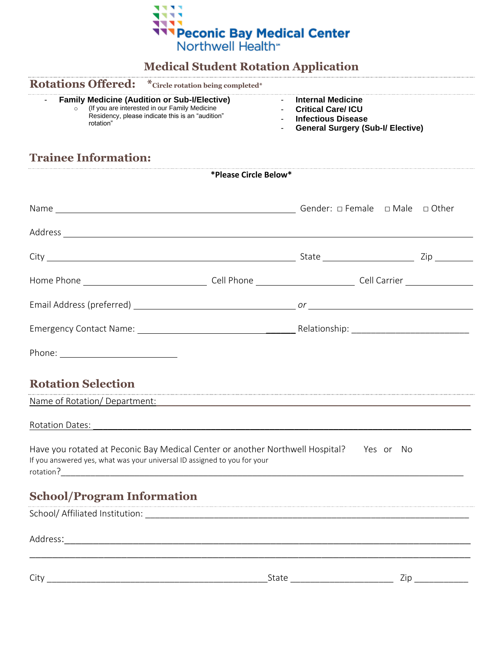

## **Medical Student Rotation Application**

# **Rotations Offered: \*Circle rotation being completed\***

## - **Family Medicine (Audition or Sub-I/Elective)**

- o (If you are interested in our Family Medicine Residency, please indicate this is an "audition" rotation"
- **Internal Medicine**
- **Critical Care/ ICU**
- **Infectious Disease**
- **General Surgery (Sub-I/ Elective)**

# **Trainee Information:**

|                                                                                                                                                                     | *Please Circle Below* |     |
|---------------------------------------------------------------------------------------------------------------------------------------------------------------------|-----------------------|-----|
|                                                                                                                                                                     |                       |     |
|                                                                                                                                                                     |                       |     |
|                                                                                                                                                                     |                       |     |
|                                                                                                                                                                     |                       |     |
|                                                                                                                                                                     |                       |     |
|                                                                                                                                                                     |                       |     |
|                                                                                                                                                                     |                       |     |
| <b>Rotation Selection</b>                                                                                                                                           |                       |     |
|                                                                                                                                                                     |                       |     |
| Rotation Dates: 2008. Experience and Contact Test and Contact Test and Contact Test and Contact Test and Conta                                                      |                       |     |
| Have you rotated at Peconic Bay Medical Center or another Northwell Hospital? Yes or No<br>If you answered yes, what was your universal ID assigned to you for your |                       |     |
| <b>School/Program Information</b>                                                                                                                                   |                       |     |
|                                                                                                                                                                     |                       |     |
|                                                                                                                                                                     |                       |     |
|                                                                                                                                                                     | State                 | Zip |